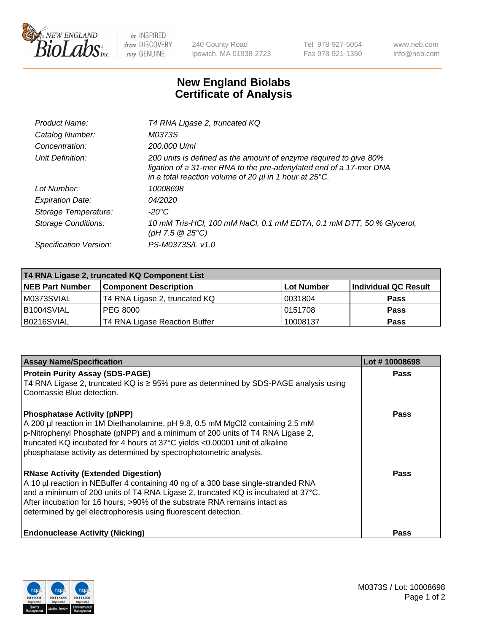

 $be$  INSPIRED drive DISCOVERY stay GENUINE

240 County Road Ipswich, MA 01938-2723 Tel 978-927-5054 Fax 978-921-1350 www.neb.com info@neb.com

## **New England Biolabs Certificate of Analysis**

| Product Name:              | T4 RNA Ligase 2, truncated KQ                                                                                                                                                                                    |
|----------------------------|------------------------------------------------------------------------------------------------------------------------------------------------------------------------------------------------------------------|
| Catalog Number:            | M0373S                                                                                                                                                                                                           |
| Concentration:             | 200,000 U/ml                                                                                                                                                                                                     |
| Unit Definition:           | 200 units is defined as the amount of enzyme required to give 80%<br>ligation of a 31-mer RNA to the pre-adenylated end of a 17-mer DNA<br>in a total reaction volume of 20 $\mu$ l in 1 hour at 25 $\degree$ C. |
| Lot Number:                | 10008698                                                                                                                                                                                                         |
| <b>Expiration Date:</b>    | 04/2020                                                                                                                                                                                                          |
| Storage Temperature:       | $-20^{\circ}$ C                                                                                                                                                                                                  |
| <b>Storage Conditions:</b> | 10 mM Tris-HCl, 100 mM NaCl, 0.1 mM EDTA, 0.1 mM DTT, 50 % Glycerol,<br>(pH 7.5 @ 25°C)                                                                                                                          |
| Specification Version:     | PS-M0373S/L v1.0                                                                                                                                                                                                 |

| T4 RNA Ligase 2, truncated KQ Component List |                               |            |                      |  |
|----------------------------------------------|-------------------------------|------------|----------------------|--|
| <b>NEB Part Number</b>                       | <b>Component Description</b>  | Lot Number | Individual QC Result |  |
| M0373SVIAL                                   | T4 RNA Ligase 2, truncated KQ | 10031804   | <b>Pass</b>          |  |
| B <sub>1004</sub> SVIAL                      | <b>PEG 8000</b>               | 10151708   | <b>Pass</b>          |  |
| B0216SVIAL                                   | T4 RNA Ligase Reaction Buffer | 10008137   | <b>Pass</b>          |  |

| <b>Assay Name/Specification</b>                                                                                                                                 | Lot #10008698 |
|-----------------------------------------------------------------------------------------------------------------------------------------------------------------|---------------|
| <b>Protein Purity Assay (SDS-PAGE)</b><br>T4 RNA Ligase 2, truncated KQ is $\geq$ 95% pure as determined by SDS-PAGE analysis using                             | <b>Pass</b>   |
| Coomassie Blue detection.                                                                                                                                       |               |
| <b>Phosphatase Activity (pNPP)</b>                                                                                                                              | <b>Pass</b>   |
| A 200 µl reaction in 1M Diethanolamine, pH 9.8, 0.5 mM MgCl2 containing 2.5 mM<br>p-Nitrophenyl Phosphate (pNPP) and a minimum of 200 units of T4 RNA Ligase 2, |               |
| truncated KQ incubated for 4 hours at 37°C yields <0.00001 unit of alkaline                                                                                     |               |
| phosphatase activity as determined by spectrophotometric analysis.                                                                                              |               |
| <b>RNase Activity (Extended Digestion)</b>                                                                                                                      | <b>Pass</b>   |
| A 10 µl reaction in NEBuffer 4 containing 40 ng of a 300 base single-stranded RNA                                                                               |               |
| and a minimum of 200 units of T4 RNA Ligase 2, truncated KQ is incubated at 37°C.<br>After incubation for 16 hours, >90% of the substrate RNA remains intact as |               |
| determined by gel electrophoresis using fluorescent detection.                                                                                                  |               |
|                                                                                                                                                                 |               |
| <b>Endonuclease Activity (Nicking)</b>                                                                                                                          | Pass          |